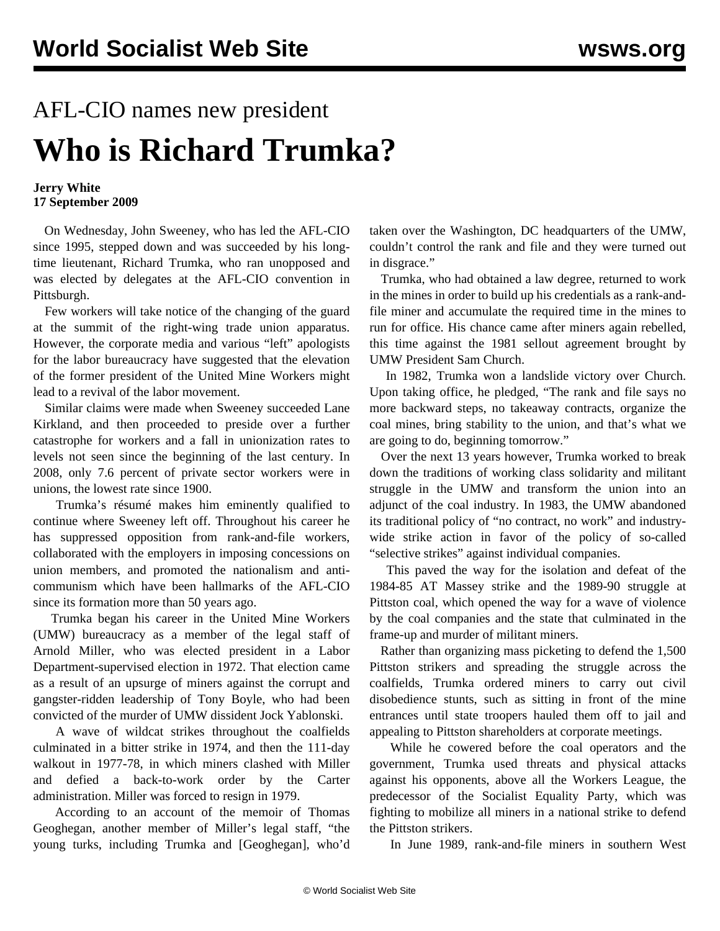## AFL-CIO names new president **Who is Richard Trumka?**

## **Jerry White 17 September 2009**

 On Wednesday, John Sweeney, who has led the AFL-CIO since 1995, stepped down and was succeeded by his longtime lieutenant, Richard Trumka, who ran unopposed and was elected by delegates at the AFL-CIO convention in Pittsburgh.

 Few workers will take notice of the changing of the guard at the summit of the right-wing trade union apparatus. However, the corporate media and various "left" apologists for the labor bureaucracy have suggested that the elevation of the former president of the United Mine Workers might lead to a revival of the labor movement.

 Similar claims were made when Sweeney succeeded Lane Kirkland, and then proceeded to preside over a further catastrophe for workers and a fall in unionization rates to levels not seen since the beginning of the last century. In 2008, only 7.6 percent of private sector workers were in unions, the lowest rate since 1900.

 Trumka's résumé makes him eminently qualified to continue where Sweeney left off. Throughout his career he has suppressed opposition from rank-and-file workers, collaborated with the employers in imposing concessions on union members, and promoted the nationalism and anticommunism which have been hallmarks of the AFL-CIO since its formation more than 50 years ago.

 Trumka began his career in the United Mine Workers (UMW) bureaucracy as a member of the legal staff of Arnold Miller, who was elected president in a Labor Department-supervised election in 1972. That election came as a result of an upsurge of miners against the corrupt and gangster-ridden leadership of Tony Boyle, who had been convicted of the murder of UMW dissident Jock Yablonski.

 A wave of wildcat strikes throughout the coalfields culminated in a bitter strike in 1974, and then the 111-day walkout in 1977-78, in which miners clashed with Miller and defied a back-to-work order by the Carter administration. Miller was forced to resign in 1979.

 According to an account of the memoir of Thomas Geoghegan, another member of Miller's legal staff, "the young turks, including Trumka and [Geoghegan], who'd taken over the Washington, DC headquarters of the UMW, couldn't control the rank and file and they were turned out in disgrace."

 Trumka, who had obtained a law degree, returned to work in the mines in order to build up his credentials as a rank-andfile miner and accumulate the required time in the mines to run for office. His chance came after miners again rebelled, this time against the 1981 sellout agreement brought by UMW President Sam Church.

 In 1982, Trumka won a landslide victory over Church. Upon taking office, he pledged, "The rank and file says no more backward steps, no takeaway contracts, organize the coal mines, bring stability to the union, and that's what we are going to do, beginning tomorrow."

 Over the next 13 years however, Trumka worked to break down the traditions of working class solidarity and militant struggle in the UMW and transform the union into an adjunct of the coal industry. In 1983, the UMW abandoned its traditional policy of "no contract, no work" and industrywide strike action in favor of the policy of so-called "selective strikes" against individual companies.

 This paved the way for the isolation and defeat of the 1984-85 AT Massey strike and the 1989-90 struggle at Pittston coal, which opened the way for a wave of violence by the coal companies and the state that culminated in the frame-up and murder of militant miners.

 Rather than organizing mass picketing to defend the 1,500 Pittston strikers and spreading the struggle across the coalfields, Trumka ordered miners to carry out civil disobedience stunts, such as sitting in front of the mine entrances until state troopers hauled them off to jail and appealing to Pittston shareholders at corporate meetings.

 While he cowered before the coal operators and the government, Trumka used threats and physical attacks against his opponents, above all the Workers League, the predecessor of the Socialist Equality Party, which was fighting to mobilize all miners in a national strike to defend the Pittston strikers.

In June 1989, rank-and-file miners in southern West